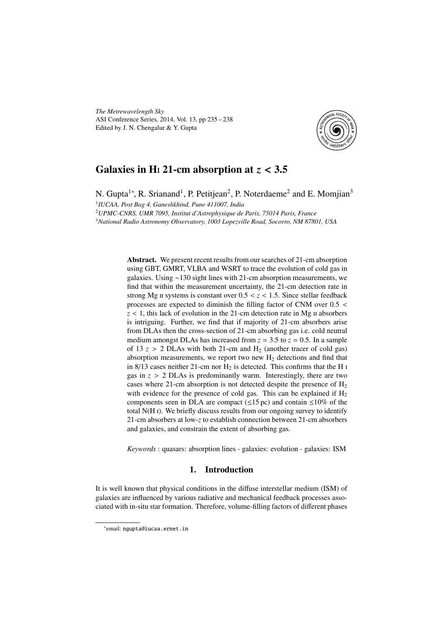*The Metrewavelength Sky* ASI Conference Series, 2014, Vol. 13, pp 235 – 238 Edited by J. N. Chengalur & Y. Gupta



# Galaxies in H<sub>1</sub>21-cm absorption at  $z < 3.5$

N. Gupta<sup>1</sup>\*, R. Srianand<sup>1</sup>, P. Petitjean<sup>2</sup>, P. Noterdaeme<sup>2</sup> and E. Momjian<sup>3</sup> 1 *IUCAA, Post Bag 4, Ganeshkhind, Pune 411007, India*

<sup>2</sup>*UPMC-CNRS, UMR 7095, Institut d'Astrophysique de Paris, 75014 Paris, France* <sup>3</sup>*National Radio Astronomy Observatory, 1003 Lopezville Road, Socorro, NM 87801, USA*

> Abstract. We present recent results from our searches of 21-cm absorption using GBT, GMRT, VLBA and WSRT to trace the evolution of cold gas in galaxies. Using ∼130 sight lines with 21-cm absorption measurements, we find that within the measurement uncertainty, the 21-cm detection rate in strong Mg  $\pi$  systems is constant over  $0.5 < z < 1.5$ . Since stellar feedback processes are expected to diminish the filling factor of CNM over 0.5 <  $z < 1$ , this lack of evolution in the 21-cm detection rate in Mg  $\pi$  absorbers is intriguing. Further, we find that if majority of 21-cm absorbers arise from DLAs then the cross-section of 21-cm absorbing gas i.e. cold neutral medium amongst DLAs has increased from  $z = 3.5$  to  $z = 0.5$ . In a sample of 13  $z > 2$  DLAs with both 21-cm and H<sub>2</sub> (another tracer of cold gas) absorption measurements, we report two new  $H_2$  detections and find that in 8/13 cases neither 21-cm nor  $H_2$  is detected. This confirms that the H  $\text{I}$ gas in  $z > 2$  DLAs is predominantly warm. Interestingly, there are two cases where 21-cm absorption is not detected despite the presence of  $H_2$ with evidence for the presence of cold gas. This can be explained if  $H_2$ components seen in DLA are compact ( $\leq$ 15 pc) and contain  $\leq$ 10% of the total N(H ). We briefly discuss results from our ongoing survey to identify 21-cm absorbers at low-*z* to establish connection between 21-cm absorbers and galaxies, and constrain the extent of absorbing gas.

> *Keywords* : quasars: absorption lines - galaxies: evolution - galaxies: ISM

## 1. Introduction

It is well known that physical conditions in the diffuse interstellar medium (ISM) of galaxies are influenced by various radiative and mechanical feedback processes associated with in-situ star formation. Therefore, volume-filling factors of different phases

<sup>∗</sup> email: ngupta@iucaa.ernet.in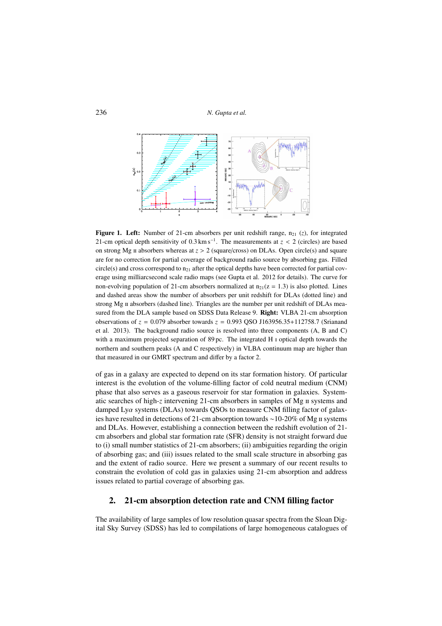

**Figure 1. Left:** Number of 21-cm absorbers per unit redshift range,  $n_{21}$  (*z*), for integrated 21-cm optical depth sensitivity of  $0.3 \text{ km s}^{-1}$ . The measurements at  $z < 2$  (circles) are based on strong Mg  $\pi$  absorbers whereas at  $z > 2$  (square/cross) on DLAs. Open circle(s) and square are for no correction for partial coverage of background radio source by absorbing gas. Filled circle(s) and cross correspond to  $n_{21}$  after the optical depths have been corrected for partial coverage using milliarcsecond scale radio maps (see Gupta et al. 2012 for details). The curve for non-evolving population of 21-cm absorbers normalized at  $n_{21}(z = 1.3)$  is also plotted. Lines and dashed areas show the number of absorbers per unit redshift for DLAs (dotted line) and strong Mg II absorbers (dashed line). Triangles are the number per unit redshift of DLAs measured from the DLA sample based on SDSS Data Release 9. Right: VLBA 21-cm absorption observations of *z* = 0.079 absorber towards *z* = 0.993 QSO J163956.35+112758.7 (Srianand et al. 2013). The background radio source is resolved into three components (A, B and C) with a maximum projected separation of  $89 \text{ pc}$ . The integrated H  $\text{I}$  optical depth towards the northern and southern peaks (A and C respectively) in VLBA continuum map are higher than that measured in our GMRT spectrum and differ by a factor 2.

of gas in a galaxy are expected to depend on its star formation history. Of particular interest is the evolution of the volume-filling factor of cold neutral medium (CNM) phase that also serves as a gaseous reservoir for star formation in galaxies. Systematic searches of high-*z* intervening 21-cm absorbers in samples of Mg  $\text{II}$  systems and damped Lyα systems (DLAs) towards QSOs to measure CNM filling factor of galaxies have resulted in detections of 21-cm absorption towards ∼10-20% of Mg systems and DLAs. However, establishing a connection between the redshift evolution of 21 cm absorbers and global star formation rate (SFR) density is not straight forward due to (i) small number statistics of 21-cm absorbers; (ii) ambiguities regarding the origin of absorbing gas; and (iii) issues related to the small scale structure in absorbing gas and the extent of radio source. Here we present a summary of our recent results to constrain the evolution of cold gas in galaxies using 21-cm absorption and address issues related to partial coverage of absorbing gas.

### 2. 21-cm absorption detection rate and CNM filling factor

The availability of large samples of low resolution quasar spectra from the Sloan Digital Sky Survey (SDSS) has led to compilations of large homogeneous catalogues of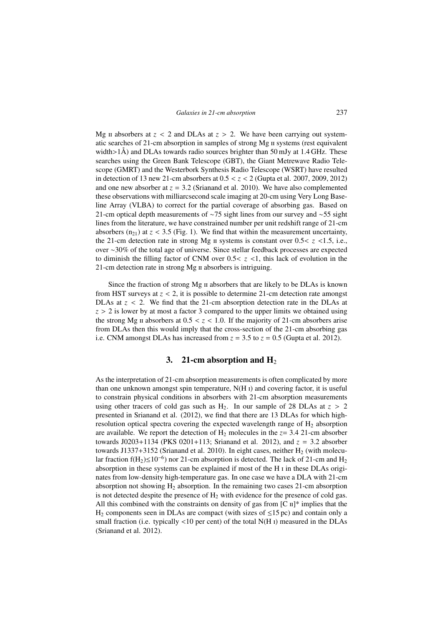Mg  $\pi$  absorbers at  $z < 2$  and DLAs at  $z > 2$ . We have been carrying out systematic searches of 21-cm absorption in samples of strong Mg  $\mu$  systems (rest equivalent width $>1\AA$ ) and DLAs towards radio sources brighter than 50 mJy at 1.4 GHz. These searches using the Green Bank Telescope (GBT), the Giant Metrewave Radio Telescope (GMRT) and the Westerbork Synthesis Radio Telescope (WSRT) have resulted in detection of 13 new 21-cm absorbers at 0.5 < *z* < 2 (Gupta et al. 2007, 2009, 2012) and one new absorber at  $z = 3.2$  (Srianand et al. 2010). We have also complemented these observations with milliarcsecond scale imaging at 20-cm using Very Long Baseline Array (VLBA) to correct for the partial coverage of absorbing gas. Based on 21-cm optical depth measurements of ∼75 sight lines from our survey and ∼55 sight lines from the literature, we have constrained number per unit redshift range of 21-cm absorbers  $(n_{21})$  at  $z < 3.5$  (Fig. 1). We find that within the measurement uncertainty, the 21-cm detection rate in strong Mg  $\mu$  systems is constant over 0.5<  $z$  <1.5, i.e., over ∼30% of the total age of universe. Since stellar feedback processes are expected to diminish the filling factor of CNM over  $0.5 < z < 1$ , this lack of evolution in the 21-cm detection rate in strong Mg II absorbers is intriguing.

Since the fraction of strong Mg  $\pi$  absorbers that are likely to be DLAs is known from HST surveys at  $z < 2$ , it is possible to determine 21-cm detection rate amongst DLAs at  $z < 2$ . We find that the 21-cm absorption detection rate in the DLAs at  $z > 2$  is lower by at most a factor 3 compared to the upper limits we obtained using the strong Mg  $\mu$  absorbers at 0.5  $\lt$   $z$   $\lt$  1.0. If the majority of 21-cm absorbers arise from DLAs then this would imply that the cross-section of the 21-cm absorbing gas i.e. CNM amongst DLAs has increased from  $z = 3.5$  to  $z = 0.5$  (Gupta et al. 2012).

#### 3. 21-cm absorption and  $H_2$

As the interpretation of 21-cm absorption measurements is often complicated by more than one unknown amongst spin temperature,  $N(H_1)$  and covering factor, it is useful to constrain physical conditions in absorbers with 21-cm absorption measurements using other tracers of cold gas such as  $H_2$ . In our sample of 28 DLAs at  $z > 2$ presented in Srianand et al. (2012), we find that there are 13 DLAs for which highresolution optical spectra covering the expected wavelength range of  $H_2$  absorption are available. We report the detection of  $H_2$  molecules in the  $z = 3.4$  21-cm absorber towards J0203+1134 (PKS 0201+113; Srianand et al. 2012), and *z* = 3.2 absorber towards J1337+3152 (Srianand et al. 2010). In eight cases, neither  $H_2$  (with molecular fraction f(H<sub>2</sub>)≤10<sup>-6</sup>) nor 21-cm absorption is detected. The lack of 21-cm and H<sub>2</sub> absorption in these systems can be explained if most of the H in these DLAs originates from low-density high-temperature gas. In one case we have a DLA with 21-cm absorption not showing  $H_2$  absorption. In the remaining two cases 21-cm absorption is not detected despite the presence of  $H_2$  with evidence for the presence of cold gas. All this combined with the constraints on density of gas from  $[C \Pi]^*$  implies that the  $H_2$  components seen in DLAs are compact (with sizes of  $\leq$ 15 pc) and contain only a small fraction (i.e. typically  $\langle 10 \text{ per cent} \rangle$  of the total N(H I) measured in the DLAs (Srianand et al. 2012).